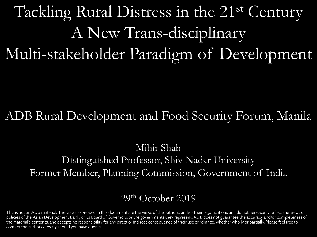## Tackling Rural Distress in the 21st Century A New Trans-disciplinary Multi-stakeholder Paradigm of Development

#### ADB Rural Development and Food Security Forum, Manila

#### Mihir Shah Distinguished Professor, Shiv Nadar University Former Member, Planning Commission, Government of India

#### 29th October 2019

This is not an ADB material. The views expressed in this document are the views of the author/s and/or their organizations and do not necessarily reflect the views or policies of the Asian Development Bank, or its Board of Governors, or the governments they represent. ADB does not guarantee the accuracy and/or completeness of the material's contents, and accepts no responsibility for any direct or indirect consequence of their use or reliance, whether wholly or partially. Please feel free to contact the authors directly should you have queries.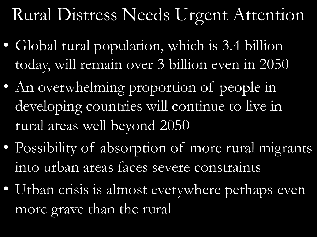## Rural Distress Needs Urgent Attention

- Global rural population, which is 3.4 billion today, will remain over 3 billion even in 2050
- An overwhelming proportion of people in developing countries will continue to live in rural areas well beyond 2050
- Possibility of absorption of more rural migrants into urban areas faces severe constraints
- Urban crisis is almost everywhere perhaps even more grave than the rural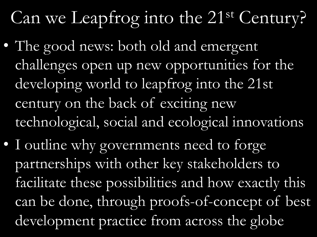# Can we Leapfrog into the 21<sup>st</sup> Century?

- The good news: both old and emergent challenges open up new opportunities for the developing world to leapfrog into the 21st century on the back of exciting new technological, social and ecological innovations
- I outline why governments need to forge partnerships with other key stakeholders to facilitate these possibilities and how exactly this can be done, through proofs-of-concept of best development practice from across the globe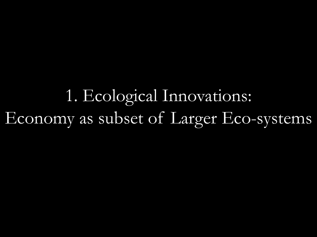1. Ecological Innovations: Economy as subset of Larger Eco-systems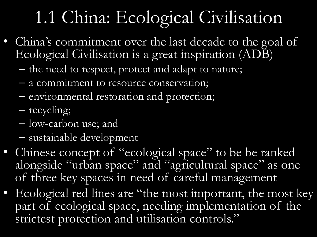## 1.1 China: Ecological Civilisation

- China's commitment over the last decade to the goal of Ecological Civilisation is a great inspiration (ADB)
	- the need to respect, protect and adapt to nature;
	- a commitment to resource conservation;
	- environmental restoration and protection;
	- recycling;
	- low-carbon use; and
	- sustainable development
- Chinese concept of "ecological space" to be be ranked alongside "urban space" and "agricultural space" as one of three key spaces in need of careful management
- Ecological red lines are "the most important, the most key part of ecological space, needing implementation of the strictest protection and utilisation controls."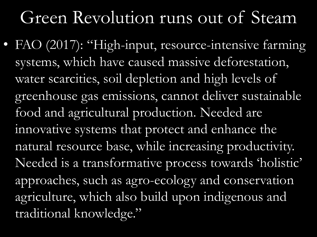## Green Revolution runs out of Steam

• FAO (2017): "High-input, resource-intensive farming systems, which have caused massive deforestation, water scarcities, soil depletion and high levels of greenhouse gas emissions, cannot deliver sustainable food and agricultural production. Needed are innovative systems that protect and enhance the natural resource base, while increasing productivity. Needed is a transformative process towards 'holistic' approaches, such as agro-ecology and conservation agriculture, which also build upon indigenous and traditional knowledge."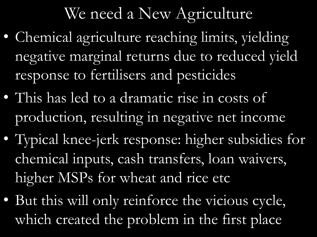### We need a New Agriculture

- Chemical agriculture reaching limits, yielding negative marginal returns due to reduced yield response to fertilisers and pesticides
- This has led to a dramatic rise in costs of production, resulting in negative net income
- Typical knee-jerk response: higher subsidies for chemical inputs, cash transfers, loan waivers, higher MSPs for wheat and rice etc
- But this will only reinforce the vicious cycle, which created the problem in the first place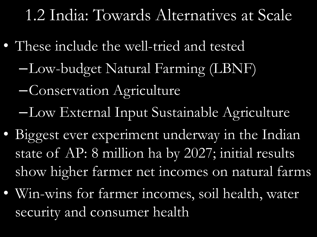#### 1.2 India: Towards Alternatives at Scale

- These include the well-tried and tested
	- –Low-budget Natural Farming (LBNF)
	- –Conservation Agriculture
	- –Low External Input Sustainable Agriculture
- Biggest ever experiment underway in the Indian state of AP: 8 million ha by 2027; initial results show higher farmer net incomes on natural farms
- Win-wins for farmer incomes, soil health, water security and consumer health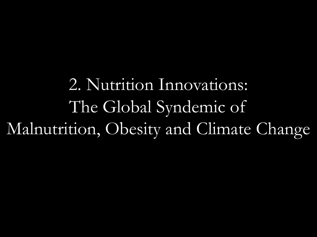2. Nutrition Innovations: The Global Syndemic of Malnutrition, Obesity and Climate Change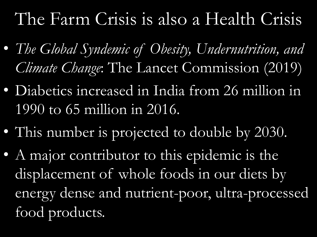## The Farm Crisis is also a Health Crisis

- *The Global Syndemic of Obesity, Undernutrition, and Climate Change*: The Lancet Commission (2019)
- Diabetics increased in India from 26 million in 1990 to 65 million in 2016.
- This number is projected to double by 2030.
- A major contributor to this epidemic is the displacement of whole foods in our diets by energy dense and nutrient-poor, ultra-processed food products.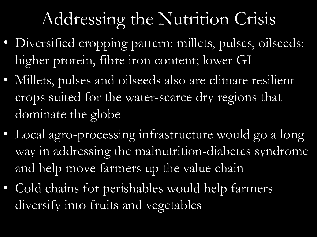## Addressing the Nutrition Crisis

- Diversified cropping pattern: millets, pulses, oilseeds: higher protein, fibre iron content; lower GI
- Millets, pulses and oilseeds also are climate resilient crops suited for the water-scarce dry regions that dominate the globe
- Local agro-processing infrastructure would go a long way in addressing the malnutrition-diabetes syndrome and help move farmers up the value chain
- Cold chains for perishables would help farmers diversify into fruits and vegetables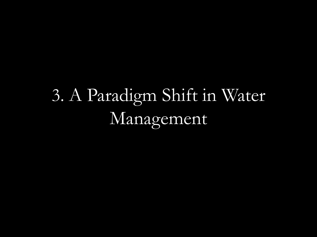# 3. A Paradigm Shift in Water Management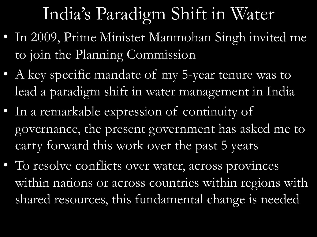## India's Paradigm Shift in Water

- In 2009, Prime Minister Manmohan Singh invited me to join the Planning Commission
- A key specific mandate of my 5-year tenure was to lead a paradigm shift in water management in India
- In a remarkable expression of continuity of governance, the present government has asked me to carry forward this work over the past 5 years
- To resolve conflicts over water, across provinces within nations or across countries within regions with shared resources, this fundamental change is needed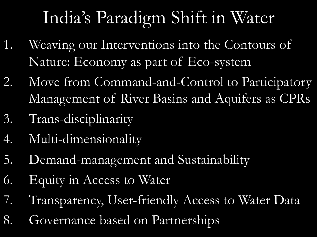## India's Paradigm Shift in Water

- 1. Weaving our Interventions into the Contours of Nature: Economy as part of Eco-system
- 2. Move from Command-and-Control to Participatory Management of River Basins and Aquifers as CPRs
- 3. Trans-disciplinarity
- 4. Multi-dimensionality
- 5. Demand-management and Sustainability
- 6. Equity in Access to Water
- 7. Transparency, User-friendly Access to Water Data
- 8. Governance based on Partnerships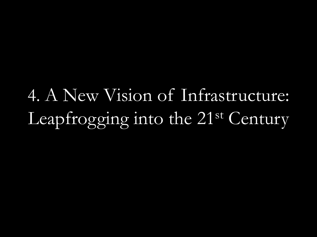4. A New Vision of Infrastructure: Leapfrogging into the 21<sup>st</sup> Century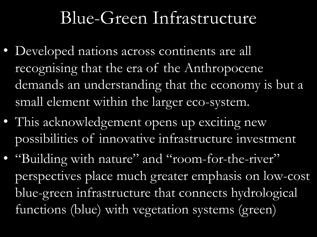## Blue-Green Infrastructure

- Developed nations across continents are all recognising that the era of the Anthropocene demands an understanding that the economy is but a small element within the larger eco-system.
- This acknowledgement opens up exciting new possibilities of innovative infrastructure investment
- "Building with nature" and "room-for-the-river" perspectives place much greater emphasis on low-cost blue-green infrastructure that connects hydrological functions (blue) with vegetation systems (green)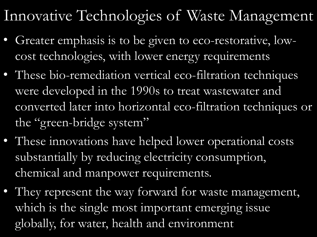#### Innovative Technologies of Waste Management

- Greater emphasis is to be given to eco-restorative, lowcost technologies, with lower energy requirements
- These bio-remediation vertical eco-filtration techniques were developed in the 1990s to treat wastewater and converted later into horizontal eco-filtration techniques or the "green-bridge system"
- These innovations have helped lower operational costs substantially by reducing electricity consumption, chemical and manpower requirements.
- They represent the way forward for waste management, which is the single most important emerging issue globally, for water, health and environment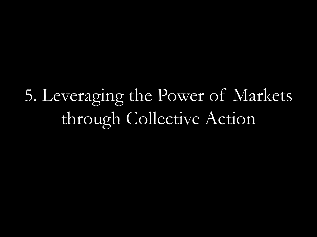5. Leveraging the Power of Markets through Collective Action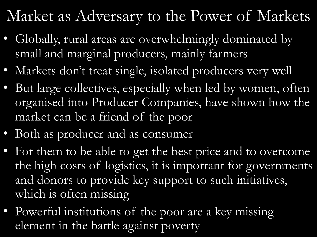### Market as Adversary to the Power of Markets

- Globally, rural areas are overwhelmingly dominated by small and marginal producers, mainly farmers
- Markets don't treat single, isolated producers very well
- But large collectives, especially when led by women, often organised into Producer Companies, have shown how the market can be a friend of the poor
- Both as producer and as consumer
- For them to be able to get the best price and to overcome the high costs of logistics, it is important for governments and donors to provide key support to such initiatives, which is often missing
- Powerful institutions of the poor are a key missing element in the battle against poverty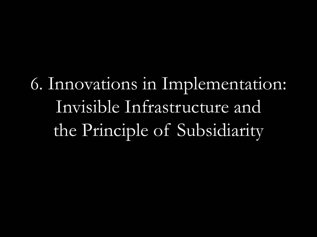6. Innovations in Implementation: Invisible Infrastructure and the Principle of Subsidiarity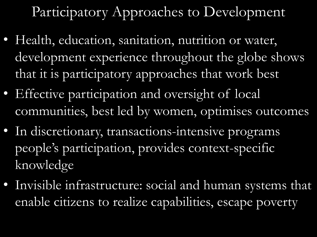Participatory Approaches to Development

- Health, education, sanitation, nutrition or water, development experience throughout the globe shows that it is participatory approaches that work best
- Effective participation and oversight of local communities, best led by women, optimises outcomes
- In discretionary, transactions-intensive programs people's participation, provides context-specific knowledge
- Invisible infrastructure: social and human systems that enable citizens to realize capabilities, escape poverty